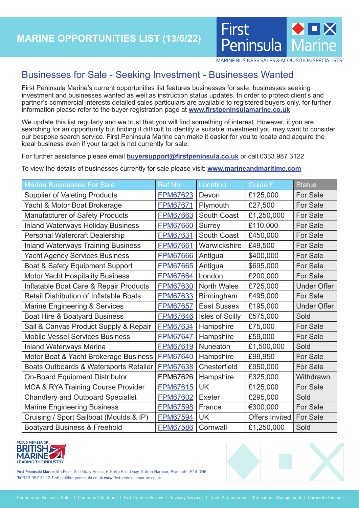

MARINE BUSINESS SALES & ACQUISITION SPECIALISTS

## Businesses for Sale - Seeking Investment - Businesses Wanted

First Peninsula Marine's current opportunities list features businesses for sale, businesses seeking investment and businesses wanted as well as instruction status updates. In order to protect client's and partner's commercial interests detailed sales particulars are available to registered buyers only, for further information please refer to the buyer registration page at **[www.firstpeninsulamarine.co.uk](http://www.firstpeninsulamarine.co.uk)**

We update this list regularly and we trust that you will find something of interest. However, if you are searching for an opportunity but finding it difficult to identify a suitable investment you may want to consider our bespoke search service. First Peninsula Marine can make it easier for you to locate and acquire the ideal business even if your target is not currently for sale.

For further assistance please email **[buyersupport@firstpeninsula.co.uk](mailto:)** or call 0333 987 3122

To view the details of businesses currently for sale please visit: **www.marineandmaritime.com**

| <b>Marine Businesses For Sale</b>              | <b>Ref No</b>   | Location               | Guide £               | <b>Status</b>      |
|------------------------------------------------|-----------------|------------------------|-----------------------|--------------------|
| <b>Supplier of Valeting Products</b>           | <b>FPM67623</b> | Devon                  | £125,000              | For Sale           |
| Yacht & Motor Boat Brokerage                   | <b>FPM67671</b> | Plymouth               | £27,500               | <b>For Sale</b>    |
| <b>Manufacturer of Safety Products</b>         | FPM67663        | South Coast            | £1,250,000            | For Sale           |
| <b>Inland Waterways Holiday Business</b>       | <b>FPM67660</b> | <b>Surrey</b>          | £110,000              | <b>For Sale</b>    |
| <b>Personal Watercraft Dealership</b>          | FPM67631        | South Coast            | £450,000              | For Sale           |
| <b>Inland Waterways Training Business</b>      | <b>FPM67661</b> | Warwickshire           | £49,500               | <b>For Sale</b>    |
| <b>Yacht Agency Services Business</b>          | <b>FPM67666</b> | Antigua                | \$400,000             | For Sale           |
| Boat & Safety Equipment Support                | <b>FPM67665</b> | Antigua                | \$695,000             | For Sale           |
| <b>Motor Yacht Hospitality Business</b>        | <b>FPM67664</b> | London                 | £200,000              | For Sale           |
| Inflatable Boat Care & Repair Products         | <b>FPM67630</b> | <b>North Wales</b>     | £725,000              | <b>Under Offer</b> |
| <b>Retail Distribution of Inflatable Boats</b> | <b>FPM67633</b> | Birmingham             | £495,000              | For Sale           |
| Marine Engineering & Services                  | <b>FPM67657</b> | <b>East Sussex</b>     | £195,000              | <b>Under Offer</b> |
| Boat Hire & Boatyard Business                  | <b>FPM67646</b> | <b>Isles of Scilly</b> | £575,000              | Sold               |
| Sail & Canvas Product Supply & Repair          | <b>FPM67634</b> | Hampshire              | £75,000               | <b>For Sale</b>    |
| <b>Mobile Vessel Services Business</b>         | <b>FPM67647</b> | Hampshire              | £59,000               | <b>For Sale</b>    |
| <b>Inland Waterways Marina</b>                 | <b>FPM67619</b> | Nuneaton               | £1,500,000            | Sold               |
| Motor Boat & Yacht Brokerage Business          | <b>FPM67640</b> | Hampshire              | £99,950               | For Sale           |
| Boats Outboards & Watersports Retailer         | <b>FPM67638</b> | Chesterfield           | £950,000              | For Sale           |
| <b>On-Board Equipment Distributor</b>          | FPM67626        | Hampshire              | £325,000              | Withdrawn          |
| <b>MCA &amp; RYA Training Course Provider</b>  | <b>FPM67615</b> | <b>UK</b>              | £125,000              | For Sale           |
| <b>Chandlery and Outboard Specialist</b>       | <b>FPM67602</b> | <b>Exeter</b>          | £295,000              | Sold               |
| <b>Marine Engineering Business</b>             | <b>FPM67598</b> | France                 | €300,000              | <b>For Sale</b>    |
| Cruising / Sport Sailboat (Moulds & IP)        | <b>FPM67594</b> | <b>UK</b>              | <b>Offers Invited</b> | For Sale           |
| <b>Boatyard Business &amp; Freehold</b>        | <b>FPM67586</b> | Cornwall               | £1,250,000            | Sold               |



**First Peninsula Marine** 4th Floor, Salt Quay House, 6 North East Quay, Sutton Harbour, Plymouth, PL4 0HP **T:**0333 987 3122 **E**:office@firstpeninsula.co.uk **www**.firstpeninsulamarine.co.uk